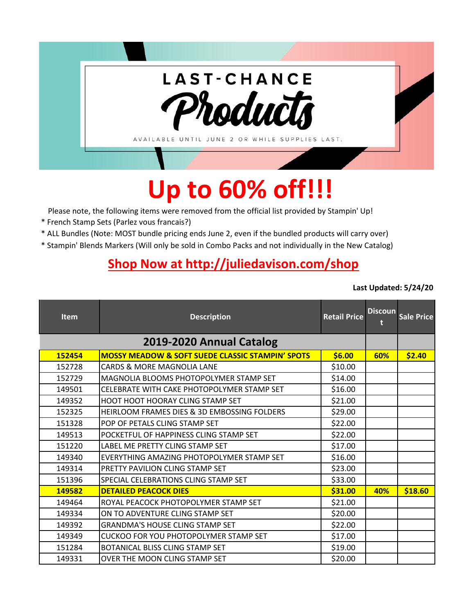

## **Up to 60% off!!!**

Please note, the following items were removed from the official list provided by Stampin' Up!

- \* French Stamp Sets (Parlez vous francais?)
- \* ALL Bundles (Note: MOST bundle pricing ends June 2, even if the bundled products will carry over)
- \* Stampin' Blends Markers (Will only be sold in Combo Packs and not individually in the New Catalog)

## **[Shop Now at http://juliedavison.com/shop](http://juliedavison.com/shop)**

**Last Updated: 5/24/20**

| <b>Item</b> | <b>Description</b>                                          | <b>Retail Price</b> | <b>Discoun</b> | <b>Sale Price</b> |
|-------------|-------------------------------------------------------------|---------------------|----------------|-------------------|
|             | 2019-2020 Annual Catalog                                    |                     |                |                   |
| 152454      | <b>MOSSY MEADOW &amp; SOFT SUEDE CLASSIC STAMPIN' SPOTS</b> | \$6.00              | 60%            | \$2.40            |
| 152728      | <b>CARDS &amp; MORE MAGNOLIA LANE</b>                       | \$10.00             |                |                   |
| 152729      | MAGNOLIA BLOOMS PHOTOPOLYMER STAMP SET                      | \$14.00             |                |                   |
| 149501      | CELEBRATE WITH CAKE PHOTOPOLYMER STAMP SET                  | \$16.00             |                |                   |
| 149352      | <b>HOOT HOOT HOORAY CLING STAMP SET</b>                     | \$21.00             |                |                   |
| 152325      | HEIRLOOM FRAMES DIES & 3D EMBOSSING FOLDERS                 | \$29.00             |                |                   |
| 151328      | POP OF PETALS CLING STAMP SET                               | \$22.00             |                |                   |
| 149513      | POCKETFUL OF HAPPINESS CLING STAMP SET                      | \$22.00             |                |                   |
| 151220      | LABEL ME PRETTY CLING STAMP SET                             | \$17.00             |                |                   |
| 149340      | EVERYTHING AMAZING PHOTOPOLYMER STAMP SET                   | \$16.00             |                |                   |
| 149314      | PRETTY PAVILION CLING STAMP SET                             | \$23.00             |                |                   |
| 151396      | SPECIAL CELEBRATIONS CLING STAMP SET                        | \$33.00             |                |                   |
| 149582      | <b>DETAILED PEACOCK DIES</b>                                | \$31.00             | 40%            | \$18.60           |
| 149464      | ROYAL PEACOCK PHOTOPOLYMER STAMP SET                        | \$21.00             |                |                   |
| 149334      | ON TO ADVENTURE CLING STAMP SET                             | \$20.00             |                |                   |
| 149392      | <b>GRANDMA'S HOUSE CLING STAMP SET</b>                      | \$22.00             |                |                   |
| 149349      | <b>CUCKOO FOR YOU PHOTOPOLYMER STAMP SET</b>                | \$17.00             |                |                   |
| 151284      | BOTANICAL BLISS CLING STAMP SET                             | \$19.00             |                |                   |
| 149331      | OVER THE MOON CLING STAMP SET                               | \$20.00             |                |                   |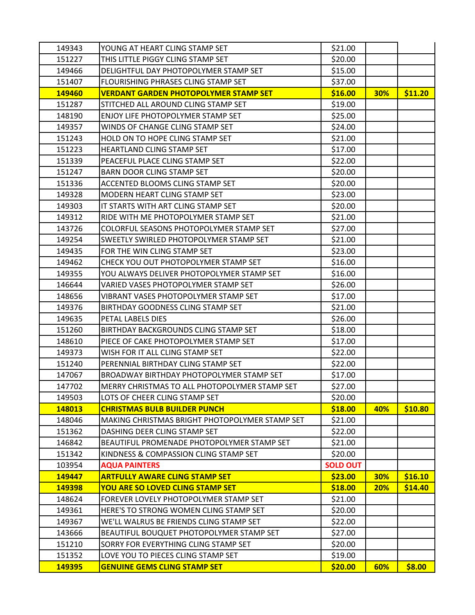| 149343 | YOUNG AT HEART CLING STAMP SET                 | \$21.00         |            |         |
|--------|------------------------------------------------|-----------------|------------|---------|
| 151227 | THIS LITTLE PIGGY CLING STAMP SET              | \$20.00         |            |         |
| 149466 | DELIGHTFUL DAY PHOTOPOLYMER STAMP SET          | \$15.00         |            |         |
| 151407 | FLOURISHING PHRASES CLING STAMP SET            | \$37.00         |            |         |
| 149460 | <b>VERDANT GARDEN PHOTOPOLYMER STAMP SET</b>   | \$16.00         | <b>30%</b> | \$11.20 |
| 151287 | STITCHED ALL AROUND CLING STAMP SET            | \$19.00         |            |         |
| 148190 | ENJOY LIFE PHOTOPOLYMER STAMP SET              | \$25.00         |            |         |
| 149357 | WINDS OF CHANGE CLING STAMP SET                | \$24.00         |            |         |
| 151243 | HOLD ON TO HOPE CLING STAMP SET                | \$21.00         |            |         |
| 151223 | HEARTLAND CLING STAMP SET                      | \$17.00         |            |         |
| 151339 | PEACEFUL PLACE CLING STAMP SET                 | \$22.00         |            |         |
| 151247 | BARN DOOR CLING STAMP SET                      | \$20.00         |            |         |
| 151336 | ACCENTED BLOOMS CLING STAMP SET                | \$20.00         |            |         |
| 149328 | MODERN HEART CLING STAMP SET                   | \$23.00         |            |         |
| 149303 | IT STARTS WITH ART CLING STAMP SET             | \$20.00         |            |         |
| 149312 | RIDE WITH ME PHOTOPOLYMER STAMP SET            | \$21.00         |            |         |
| 143726 | COLORFUL SEASONS PHOTOPOLYMER STAMP SET        | \$27.00         |            |         |
| 149254 | SWEETLY SWIRLED PHOTOPOLYMER STAMP SET         | \$21.00         |            |         |
| 149435 | FOR THE WIN CLING STAMP SET                    | \$23.00         |            |         |
| 149462 | CHECK YOU OUT PHOTOPOLYMER STAMP SET           | \$16.00         |            |         |
| 149355 | YOU ALWAYS DELIVER PHOTOPOLYMER STAMP SET      | \$16.00         |            |         |
| 146644 | VARIED VASES PHOTOPOLYMER STAMP SET            | \$26.00         |            |         |
| 148656 | VIBRANT VASES PHOTOPOLYMER STAMP SET           | \$17.00         |            |         |
| 149376 | BIRTHDAY GOODNESS CLING STAMP SET              | \$21.00         |            |         |
| 149635 | PETAL LABELS DIES                              | \$26.00         |            |         |
| 151260 | BIRTHDAY BACKGROUNDS CLING STAMP SET           | \$18.00         |            |         |
| 148610 | PIECE OF CAKE PHOTOPOLYMER STAMP SET           | \$17.00         |            |         |
| 149373 | WISH FOR IT ALL CLING STAMP SET                | \$22.00         |            |         |
| 151240 | PERENNIAL BIRTHDAY CLING STAMP SET             | \$22.00         |            |         |
| 147067 | BROADWAY BIRTHDAY PHOTOPOLYMER STAMP SET       | \$17.00         |            |         |
| 147702 | MERRY CHRISTMAS TO ALL PHOTOPOLYMER STAMP SET  | \$27.00         |            |         |
| 149503 | LOTS OF CHEER CLING STAMP SET                  | \$20.00         |            |         |
| 148013 | <b>CHRISTMAS BULB BUILDER PUNCH</b>            | \$18.00         | 40%        | \$10.80 |
| 148046 | MAKING CHRISTMAS BRIGHT PHOTOPOLYMER STAMP SET | \$21.00         |            |         |
| 151362 | DASHING DEER CLING STAMP SET                   | \$22.00         |            |         |
| 146842 | BEAUTIFUL PROMENADE PHOTOPOLYMER STAMP SET     | \$21.00         |            |         |
| 151342 | KINDNESS & COMPASSION CLING STAMP SET          | \$20.00         |            |         |
| 103954 | <b>AQUA PAINTERS</b>                           | <b>SOLD OUT</b> |            |         |
| 149447 | <b>ARTFULLY AWARE CLING STAMP SET</b>          | \$23.00         | <b>30%</b> | \$16.10 |
| 149398 | <b>YOU ARE SO LOVED CLING STAMP SET</b>        | \$18.00         | 20%        | \$14.40 |
| 148624 | FOREVER LOVELY PHOTOPOLYMER STAMP SET          | \$21.00         |            |         |
| 149361 | HERE'S TO STRONG WOMEN CLING STAMP SET         | \$20.00         |            |         |
| 149367 | WE'LL WALRUS BE FRIENDS CLING STAMP SET        | \$22.00         |            |         |
| 143666 | BEAUTIFUL BOUQUET PHOTOPOLYMER STAMP SET       | \$27.00         |            |         |
| 151210 | SORRY FOR EVERYTHING CLING STAMP SET           | \$20.00         |            |         |
| 151352 | LOVE YOU TO PIECES CLING STAMP SET             | \$19.00         |            |         |
| 149395 | <b>GENUINE GEMS CLING STAMP SET</b>            | \$20.00         | 60%        | \$8.00  |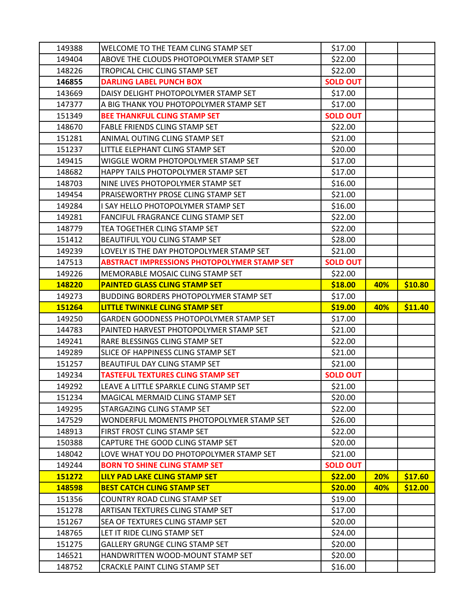| 149388           | WELCOME TO THE TEAM CLING STAMP SET                               | \$17.00            |     |         |
|------------------|-------------------------------------------------------------------|--------------------|-----|---------|
| 149404           | ABOVE THE CLOUDS PHOTOPOLYMER STAMP SET                           | \$22.00            |     |         |
| 148226           | TROPICAL CHIC CLING STAMP SET                                     | \$22.00            |     |         |
| 146855           | <b>DARLING LABEL PUNCH BOX</b>                                    | <b>SOLD OUT</b>    |     |         |
| 143669           | DAISY DELIGHT PHOTOPOLYMER STAMP SET                              | \$17.00            |     |         |
| 147377           | A BIG THANK YOU PHOTOPOLYMER STAMP SET                            | \$17.00            |     |         |
| 151349           | <b>BEE THANKFUL CLING STAMP SET</b>                               | <b>SOLD OUT</b>    |     |         |
| 148670           | FABLE FRIENDS CLING STAMP SET                                     | \$22.00            |     |         |
| 151281           | ANIMAL OUTING CLING STAMP SET                                     | \$21.00            |     |         |
| 151237           | LITTLE ELEPHANT CLING STAMP SET                                   | \$20.00            |     |         |
| 149415           | WIGGLE WORM PHOTOPOLYMER STAMP SET                                | \$17.00            |     |         |
| 148682           | HAPPY TAILS PHOTOPOLYMER STAMP SET                                | \$17.00            |     |         |
| 148703           | NINE LIVES PHOTOPOLYMER STAMP SET                                 | \$16.00            |     |         |
| 149454           | PRAISEWORTHY PROSE CLING STAMP SET                                | \$21.00            |     |         |
| 149284           | I SAY HELLO PHOTOPOLYMER STAMP SET                                | \$16.00            |     |         |
| 149281           | FANCIFUL FRAGRANCE CLING STAMP SET                                | \$22.00            |     |         |
| 148779           | TEA TOGETHER CLING STAMP SET                                      | \$22.00            |     |         |
| 151412           | BEAUTIFUL YOU CLING STAMP SET                                     | \$28.00            |     |         |
| 149239           | LOVELY IS THE DAY PHOTOPOLYMER STAMP SET                          | \$21.00            |     |         |
| 147513           | <b>ABSTRACT IMPRESSIONS PHOTOPOLYMER STAMP SET</b>                | <b>SOLD OUT</b>    |     |         |
| 149226           | MEMORABLE MOSAIC CLING STAMP SET                                  | \$22.00            |     |         |
| 148220           | <b>PAINTED GLASS CLING STAMP SET</b>                              | \$18.00            | 40% | \$10.80 |
| 149273           | BUDDING BORDERS PHOTOPOLYMER STAMP SET                            | \$17.00            |     |         |
|                  |                                                                   |                    |     |         |
| 151264           | LITTLE TWINKLE CLING STAMP SET                                    | \$19.00            | 40% | \$11.40 |
| 149250           | GARDEN GOODNESS PHOTOPOLYMER STAMP SET                            | \$17.00            |     |         |
| 144783           | PAINTED HARVEST PHOTOPOLYMER STAMP SET                            | \$21.00            |     |         |
| 149241           | RARE BLESSINGS CLING STAMP SET                                    | \$22.00            |     |         |
| 149289           | SLICE OF HAPPINESS CLING STAMP SET                                | \$21.00            |     |         |
| 151257           | BEAUTIFUL DAY CLING STAMP SET                                     | \$21.00            |     |         |
| 149234           | <b>TASTEFUL TEXTURES CLING STAMP SET</b>                          | <b>SOLD OUT</b>    |     |         |
| 149292           | LEAVE A LITTLE SPARKLE CLING STAMP SET                            | \$21.00            |     |         |
| 151234           | MAGICAL MERMAID CLING STAMP SET                                   | \$20.00            |     |         |
| 149295           | STARGAZING CLING STAMP SET                                        | \$22.00            |     |         |
| 147529           | WONDERFUL MOMENTS PHOTOPOLYMER STAMP SET                          | \$26.00            |     |         |
| 148913           | FIRST FROST CLING STAMP SET                                       | \$22.00            |     |         |
| 150388           | CAPTURE THE GOOD CLING STAMP SET                                  | \$20.00            |     |         |
| 148042           | LOVE WHAT YOU DO PHOTOPOLYMER STAMP SET                           | \$21.00            |     |         |
| 149244           | <b>BORN TO SHINE CLING STAMP SET</b>                              | <b>SOLD OUT</b>    |     |         |
| 151272           | LILY PAD LAKE CLING STAMP SET                                     | \$22.00            | 20% | \$17.60 |
| 148598           | <b>BEST CATCH CLING STAMP SET</b>                                 | \$20.00            | 40% | \$12.00 |
| 151356           | COUNTRY ROAD CLING STAMP SET                                      | \$19.00            |     |         |
| 151278           | ARTISAN TEXTURES CLING STAMP SET                                  | \$17.00            |     |         |
| 151267           | SEA OF TEXTURES CLING STAMP SET                                   | \$20.00            |     |         |
| 148765           | LET IT RIDE CLING STAMP SET                                       | \$24.00            |     |         |
| 151275           | <b>GALLERY GRUNGE CLING STAMP SET</b>                             | \$20.00            |     |         |
| 146521<br>148752 | HANDWRITTEN WOOD-MOUNT STAMP SET<br>CRACKLE PAINT CLING STAMP SET | \$20.00<br>\$16.00 |     |         |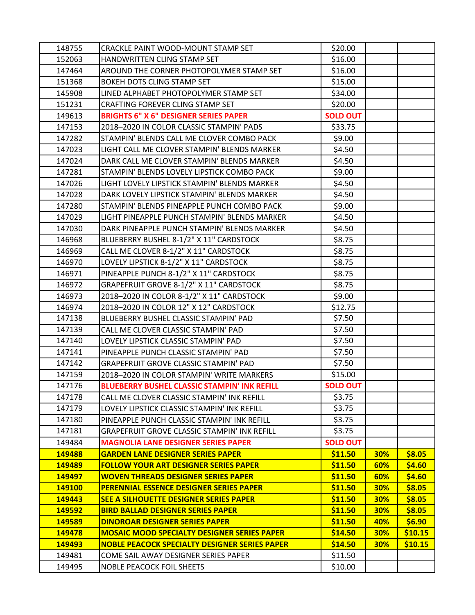| 148755 | CRACKLE PAINT WOOD-MOUNT STAMP SET                  | \$20.00         |            |         |
|--------|-----------------------------------------------------|-----------------|------------|---------|
| 152063 | HANDWRITTEN CLING STAMP SET                         | \$16.00         |            |         |
| 147464 | AROUND THE CORNER PHOTOPOLYMER STAMP SET            | \$16.00         |            |         |
| 151368 | BOKEH DOTS CLING STAMP SET                          | \$15.00         |            |         |
| 145908 | LINED ALPHABET PHOTOPOLYMER STAMP SET               | \$34.00         |            |         |
| 151231 | CRAFTING FOREVER CLING STAMP SET                    | \$20.00         |            |         |
| 149613 | <b>BRIGHTS 6" X 6" DESIGNER SERIES PAPER</b>        | <b>SOLD OUT</b> |            |         |
| 147153 | 2018-2020 IN COLOR CLASSIC STAMPIN' PADS            | \$33.75         |            |         |
| 147282 | STAMPIN' BLENDS CALL ME CLOVER COMBO PACK           | \$9.00          |            |         |
| 147023 | LIGHT CALL ME CLOVER STAMPIN' BLENDS MARKER         | \$4.50          |            |         |
| 147024 | DARK CALL ME CLOVER STAMPIN' BLENDS MARKER          | \$4.50          |            |         |
| 147281 | STAMPIN' BLENDS LOVELY LIPSTICK COMBO PACK          | \$9.00          |            |         |
| 147026 | LIGHT LOVELY LIPSTICK STAMPIN' BLENDS MARKER        | \$4.50          |            |         |
| 147028 | DARK LOVELY LIPSTICK STAMPIN' BLENDS MARKER         | \$4.50          |            |         |
| 147280 | STAMPIN' BLENDS PINEAPPLE PUNCH COMBO PACK          | \$9.00          |            |         |
| 147029 | LIGHT PINEAPPLE PUNCH STAMPIN' BLENDS MARKER        | \$4.50          |            |         |
| 147030 | DARK PINEAPPLE PUNCH STAMPIN' BLENDS MARKER         | \$4.50          |            |         |
| 146968 | BLUEBERRY BUSHEL 8-1/2" X 11" CARDSTOCK             | \$8.75          |            |         |
| 146969 | CALL ME CLOVER 8-1/2" X 11" CARDSTOCK               | \$8.75          |            |         |
| 146970 | LOVELY LIPSTICK 8-1/2" X 11" CARDSTOCK              | \$8.75          |            |         |
| 146971 | PINEAPPLE PUNCH 8-1/2" X 11" CARDSTOCK              | \$8.75          |            |         |
| 146972 | GRAPEFRUIT GROVE 8-1/2" X 11" CARDSTOCK             | \$8.75          |            |         |
| 146973 | 2018-2020 IN COLOR 8-1/2" X 11" CARDSTOCK           | \$9.00          |            |         |
| 146974 | 2018-2020 IN COLOR 12" X 12" CARDSTOCK              | \$12.75         |            |         |
| 147138 | BLUEBERRY BUSHEL CLASSIC STAMPIN' PAD               | \$7.50          |            |         |
| 147139 | CALL ME CLOVER CLASSIC STAMPIN' PAD                 | \$7.50          |            |         |
| 147140 | LOVELY LIPSTICK CLASSIC STAMPIN' PAD                | \$7.50          |            |         |
| 147141 | PINEAPPLE PUNCH CLASSIC STAMPIN' PAD                | \$7.50          |            |         |
| 147142 | <b>GRAPEFRUIT GROVE CLASSIC STAMPIN' PAD</b>        | \$7.50          |            |         |
| 147159 | 2018-2020 IN COLOR STAMPIN' WRITE MARKERS           | \$15.00         |            |         |
| 147176 | <b>BLUEBERRY BUSHEL CLASSIC STAMPIN' INK REFILL</b> | <b>SOLD OUT</b> |            |         |
| 147178 | CALL ME CLOVER CLASSIC STAMPIN' INK REFILL          | \$3.75          |            |         |
| 147179 | LOVELY LIPSTICK CLASSIC STAMPIN' INK REFILL         | \$3.75          |            |         |
| 147180 | PINEAPPLE PUNCH CLASSIC STAMPIN' INK REFILL         | \$3.75          |            |         |
| 147181 | <b>GRAPEFRUIT GROVE CLASSIC STAMPIN' INK REFILL</b> | \$3.75          |            |         |
| 149484 | <b>MAGNOLIA LANE DESIGNER SERIES PAPER</b>          | <b>SOLD OUT</b> |            |         |
| 149488 | <b>GARDEN LANE DESIGNER SERIES PAPER</b>            | \$11.50         | <b>30%</b> | \$8.05  |
| 149489 | <b>FOLLOW YOUR ART DESIGNER SERIES PAPER</b>        | \$11.50         | 60%        | \$4.60  |
| 149497 | <b>WOVEN THREADS DESIGNER SERIES PAPER</b>          | \$11.50         | 60%        | \$4.60  |
| 149100 | PERENNIAL ESSENCE DESIGNER SERIES PAPER             | \$11.50         | <b>30%</b> | \$8.05  |
| 149443 | <b>SEE A SILHOUETTE DESIGNER SERIES PAPER</b>       | \$11.50         | <b>30%</b> | \$8.05  |
| 149592 | <b>BIRD BALLAD DESIGNER SERIES PAPER</b>            | \$11.50         | <b>30%</b> | \$8.05  |
| 149589 | DINOROAR DESIGNER SERIES PAPER                      | \$11.50         | 40%        | \$6.90  |
| 149478 | <b>MOSAIC MOOD SPECIALTY DESIGNER SERIES PAPER</b>  | \$14.50         | <b>30%</b> | \$10.15 |
| 149493 | NOBLE PEACOCK SPECIALTY DESIGNER SERIES PAPER       | \$14.50         | <b>30%</b> | \$10.15 |
| 149481 | COME SAIL AWAY DESIGNER SERIES PAPER                | \$11.50         |            |         |
| 149495 | <b>NOBLE PEACOCK FOIL SHEETS</b>                    | \$10.00         |            |         |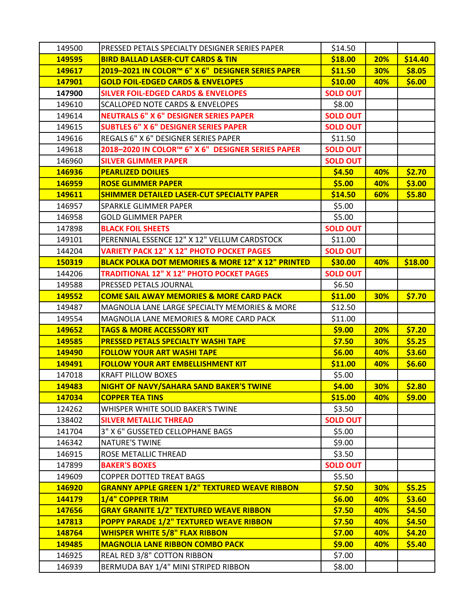| 149500 | PRESSED PETALS SPECIALTY DESIGNER SERIES PAPER               | \$14.50         |            |         |
|--------|--------------------------------------------------------------|-----------------|------------|---------|
| 149595 | <b>BIRD BALLAD LASER-CUT CARDS &amp; TIN</b>                 | \$18.00         | 20%        | \$14.40 |
| 149617 | 2019-2021 IN COLOR™ 6" X 6" DESIGNER SERIES PAPER            | \$11.50         | 30%        | \$8.05  |
| 147901 | <b>GOLD FOIL-EDGED CARDS &amp; ENVELOPES</b>                 | \$10.00         | 40%        | \$6.00  |
| 147900 | <b>SILVER FOIL-EDGED CARDS &amp; ENVELOPES</b>               | <b>SOLD OUT</b> |            |         |
| 149610 | <b>SCALLOPED NOTE CARDS &amp; ENVELOPES</b>                  | \$8.00          |            |         |
| 149614 | <b>NEUTRALS 6" X 6" DESIGNER SERIES PAPER</b>                | <b>SOLD OUT</b> |            |         |
| 149615 | <b>SUBTLES 6" X 6" DESIGNER SERIES PAPER</b>                 | <b>SOLD OUT</b> |            |         |
| 149616 | REGALS 6" X 6" DESIGNER SERIES PAPER                         | \$11.50         |            |         |
| 149618 | 2018-2020 IN COLOR™ 6" X 6" DESIGNER SERIES PAPER            | <b>SOLD OUT</b> |            |         |
| 146960 | <b>SILVER GLIMMER PAPER</b>                                  | <b>SOLD OUT</b> |            |         |
| 146936 | <b>PEARLIZED DOILIES</b>                                     | \$4.50          | 40%        | \$2.70  |
| 146959 | <b>ROSE GLIMMER PAPER</b>                                    | \$5.00          | 40%        | \$3.00  |
| 149611 | <b>SHIMMER DETAILED LASER-CUT SPECIALTY PAPER</b>            | \$14.50         | 60%        | \$5.80  |
| 146957 | SPARKLE GLIMMER PAPER                                        | \$5.00          |            |         |
| 146958 | <b>GOLD GLIMMER PAPER</b>                                    | \$5.00          |            |         |
| 147898 | <b>BLACK FOIL SHEETS</b>                                     | <b>SOLD OUT</b> |            |         |
| 149101 | PERENNIAL ESSENCE 12" X 12" VELLUM CARDSTOCK                 | \$11.00         |            |         |
| 144204 | <b>VARIETY PACK 12" X 12" PHOTO POCKET PAGES</b>             | <b>SOLD OUT</b> |            |         |
| 150319 | <b>BLACK POLKA DOT MEMORIES &amp; MORE 12" X 12" PRINTED</b> | \$30.00         | 40%        | \$18.00 |
| 144206 | <b>TRADITIONAL 12" X 12" PHOTO POCKET PAGES</b>              | <b>SOLD OUT</b> |            |         |
| 149588 | PRESSED PETALS JOURNAL                                       | \$6.50          |            |         |
| 149552 | <b>COME SAIL AWAY MEMORIES &amp; MORE CARD PACK</b>          | \$11.00         | <b>30%</b> | \$7.70  |
| 149487 | MAGNOLIA LANE LARGE SPECIALTY MEMORIES & MORE                | \$12.50         |            |         |
| 149554 | MAGNOLIA LANE MEMORIES & MORE CARD PACK                      | \$11.00         |            |         |
| 149652 | <b>TAGS &amp; MORE ACCESSORY KIT</b>                         | \$9.00          | 20%        | \$7.20  |
| 149585 | <b>PRESSED PETALS SPECIALTY WASHI TAPE</b>                   | \$7.50          | <b>30%</b> | \$5.25  |
| 149490 | <b>FOLLOW YOUR ART WASHI TAPE</b>                            | \$6.00          | 40%        | \$3.60  |
| 149491 | <b>FOLLOW YOUR ART EMBELLISHMENT KIT</b>                     | \$11.00         | 40%        | \$6.60  |
| 147018 | <b>KRAFT PILLOW BOXES</b>                                    | \$5.00          |            |         |
| 149483 | NIGHT OF NAVY/SAHARA SAND BAKER'S TWINE                      | \$4.00          | 30%        | \$2.80  |
| 147034 | <b>COPPER TEA TINS</b>                                       | \$15.00         | 40%        | \$9.00  |
| 124262 | WHISPER WHITE SOLID BAKER'S TWINE                            | \$3.50          |            |         |
| 138402 | <b>SILVER METALLIC THREAD</b>                                | <b>SOLD OUT</b> |            |         |
| 141704 | 3" X 6" GUSSETED CELLOPHANE BAGS                             | \$5.00          |            |         |
| 146342 | <b>NATURE'S TWINE</b>                                        | \$9.00          |            |         |
| 146915 | ROSE METALLIC THREAD                                         | \$3.50          |            |         |
| 147899 | <b>BAKER'S BOXES</b>                                         | <b>SOLD OUT</b> |            |         |
| 149609 | <b>COPPER DOTTED TREAT BAGS</b>                              | \$5.50          |            |         |
| 146920 | <b>GRANNY APPLE GREEN 1/2" TEXTURED WEAVE RIBBON</b>         | \$7.50          | 30%        | \$5.25  |
| 144179 | 1/4" COPPER TRIM                                             | \$6.00          | 40%        | \$3.60  |
| 147656 | <b>GRAY GRANITE 1/2" TEXTURED WEAVE RIBBON</b>               | \$7.50          | 40%        | \$4.50  |
| 147813 | <b>POPPY PARADE 1/2" TEXTURED WEAVE RIBBON</b>               | \$7.50          | 40%        | \$4.50  |
| 148764 | <b>WHISPER WHITE 5/8" FLAX RIBBON</b>                        | \$7.00          | 40%        | \$4.20  |
| 149485 | <b>MAGNOLIA LANE RIBBON COMBO PACK</b>                       | \$9.00          | 40%        | \$5.40  |
| 146925 | REAL RED 3/8" COTTON RIBBON                                  | \$7.00          |            |         |
| 146939 | BERMUDA BAY 1/4" MINI STRIPED RIBBON                         | \$8.00          |            |         |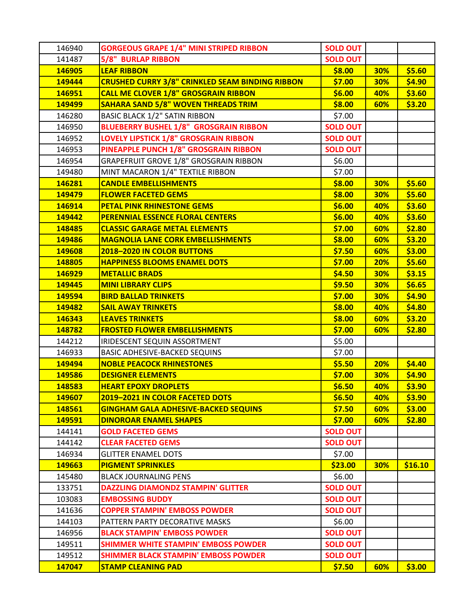| 146940        | <b>GORGEOUS GRAPE 1/4" MINI STRIPED RIBBON</b>         | <b>SOLD OUT</b> |            |         |
|---------------|--------------------------------------------------------|-----------------|------------|---------|
| 141487        | <b>5/8" BURLAP RIBBON</b>                              | <b>SOLD OUT</b> |            |         |
| 146905        | <b>LEAF RIBBON</b>                                     | \$8.00          | 30%        | \$5.60  |
| 149444        | <b>CRUSHED CURRY 3/8" CRINKLED SEAM BINDING RIBBON</b> | \$7.00          | <b>30%</b> | \$4.90  |
| 146951        | <b>CALL ME CLOVER 1/8" GROSGRAIN RIBBON</b>            | \$6.00          | 40%        | \$3.60  |
| <b>149499</b> | <b>SAHARA SAND 5/8" WOVEN THREADS TRIM</b>             | \$8.00          | 60%        | \$3.20  |
| 146280        | <b>BASIC BLACK 1/2" SATIN RIBBON</b>                   | \$7.00          |            |         |
| 146950        | <b>BLUEBERRY BUSHEL 1/8" GROSGRAIN RIBBON</b>          | <b>SOLD OUT</b> |            |         |
| 146952        | <b>LOVELY LIPSTICK 1/8" GROSGRAIN RIBBON</b>           | <b>SOLD OUT</b> |            |         |
| 146953        | PINEAPPLE PUNCH 1/8" GROSGRAIN RIBBON                  | <b>SOLD OUT</b> |            |         |
| 146954        | GRAPEFRUIT GROVE 1/8" GROSGRAIN RIBBON                 | \$6.00          |            |         |
| 149480        | MINT MACARON 1/4" TEXTILE RIBBON                       | \$7.00          |            |         |
| 146281        | <b>CANDLE EMBELLISHMENTS</b>                           | \$8.00          | <b>30%</b> | \$5.60  |
| 149479        | <b>FLOWER FACETED GEMS</b>                             | \$8.00          | <b>30%</b> | \$5.60  |
| 146914        | <b>PETAL PINK RHINESTONE GEMS</b>                      | \$6.00          | 40%        | \$3.60  |
| 149442        | <b>PERENNIAL ESSENCE FLORAL CENTERS</b>                | \$6.00          | 40%        | \$3.60  |
| 148485        | <b>CLASSIC GARAGE METAL ELEMENTS</b>                   | \$7.00          | 60%        | \$2.80  |
| 149486        | <b>MAGNOLIA LANE CORK EMBELLISHMENTS</b>               | \$8.00          | 60%        | \$3.20  |
| 149608        | 2018-2020 IN COLOR BUTTONS                             | \$7.50          | 60%        | \$3.00  |
| 148805        | <b>HAPPINESS BLOOMS ENAMEL DOTS</b>                    | \$7.00          | 20%        | \$5.60  |
| 146929        | <b>METALLIC BRADS</b>                                  | \$4.50          | 30%        | \$3.15  |
| 149445        | <b>MINI LIBRARY CLIPS</b>                              | \$9.50          | 30%        | \$6.65  |
| 149594        | <b>BIRD BALLAD TRINKETS</b>                            | \$7.00          | 30%        | \$4.90  |
| 149482        | <b>SAIL AWAY TRINKETS</b>                              | \$8.00          | 40%        | \$4.80  |
| 146343        | <b>LEAVES TRINKETS</b>                                 | \$8.00          | 60%        | \$3.20  |
| 148782        | <b>FROSTED FLOWER EMBELLISHMENTS</b>                   | \$7.00          | 60%        | \$2.80  |
| 144212        | IRIDESCENT SEQUIN ASSORTMENT                           | \$5.00          |            |         |
| 146933        | <b>BASIC ADHESIVE-BACKED SEQUINS</b>                   | \$7.00          |            |         |
| 149494        | <b>NOBLE PEACOCK RHINESTONES</b>                       | \$5.50          | 20%        | \$4.40  |
| 149586        | <b>DESIGNER ELEMENTS</b>                               | \$7.00          | <b>30%</b> | \$4.90  |
| 148583        | <b>HEART EPOXY DROPLETS</b>                            | \$6.50          | 40%        | \$3.90  |
| 149607        | <b>2019-2021 IN COLOR FACETED DOTS</b>                 | \$6.50          | 40%        | \$3.90  |
| 148561        | <b>GINGHAM GALA ADHESIVE-BACKED SEQUINS</b>            | \$7.50          | 60%        | \$3.00  |
| 149591        | <b>DINOROAR ENAMEL SHAPES</b>                          | \$7.00          | 60%        | \$2.80  |
| 144141        | <b>GOLD FACETED GEMS</b>                               | <b>SOLD OUT</b> |            |         |
| 144142        | <b>CLEAR FACETED GEMS</b>                              | <b>SOLD OUT</b> |            |         |
| 146934        | <b>GLITTER ENAMEL DOTS</b>                             | \$7.00          |            |         |
| 149663        | <b>PIGMENT SPRINKLES</b>                               | \$23.00         | 30%        | \$16.10 |
| 145480        | <b>BLACK JOURNALING PENS</b>                           | \$6.00          |            |         |
| 133751        | <b>DAZZLING DIAMONDZ STAMPIN' GLITTER</b>              | <b>SOLD OUT</b> |            |         |
| 103083        | <b>EMBOSSING BUDDY</b>                                 | <b>SOLD OUT</b> |            |         |
| 141636        | <b>COPPER STAMPIN' EMBOSS POWDER</b>                   | <b>SOLD OUT</b> |            |         |
| 144103        | PATTERN PARTY DECORATIVE MASKS                         | \$6.00          |            |         |
| 146956        | <b>BLACK STAMPIN' EMBOSS POWDER</b>                    | <b>SOLD OUT</b> |            |         |
| 149511        | <b>SHIMMER WHITE STAMPIN' EMBOSS POWDER</b>            | <b>SOLD OUT</b> |            |         |
| 149512        | <b>SHIMMER BLACK STAMPIN' EMBOSS POWDER</b>            | <b>SOLD OUT</b> |            |         |
| 147047        | <b>STAMP CLEANING PAD</b>                              | \$7.50          | 60%        | \$3.00  |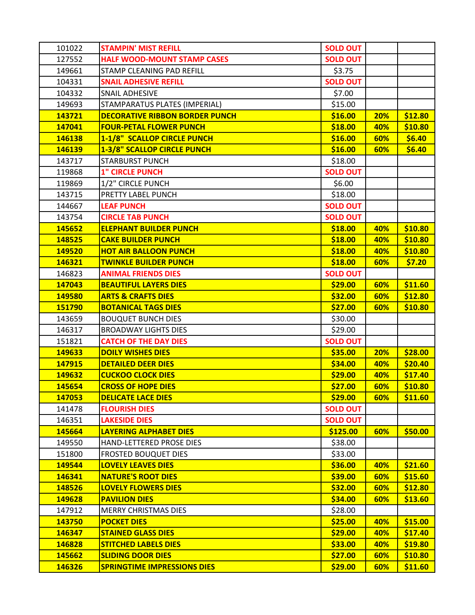| 101022 | <b>STAMPIN' MIST REFILL</b>           | <b>SOLD OUT</b> |     |         |
|--------|---------------------------------------|-----------------|-----|---------|
| 127552 | <b>HALF WOOD-MOUNT STAMP CASES</b>    | <b>SOLD OUT</b> |     |         |
| 149661 | STAMP CLEANING PAD REFILL             | \$3.75          |     |         |
| 104331 | <b>SNAIL ADHESIVE REFILL</b>          | <b>SOLD OUT</b> |     |         |
| 104332 | SNAIL ADHESIVE                        | \$7.00          |     |         |
| 149693 | STAMPARATUS PLATES (IMPERIAL)         | \$15.00         |     |         |
| 143721 | <b>DECORATIVE RIBBON BORDER PUNCH</b> | \$16.00         | 20% | \$12.80 |
| 147041 | <b>FOUR-PETAL FLOWER PUNCH</b>        | \$18.00         | 40% | \$10.80 |
| 146138 | <b>1-1/8" SCALLOP CIRCLE PUNCH</b>    | \$16.00         | 60% | \$6.40  |
| 146139 | 1-3/8" SCALLOP CIRCLE PUNCH           | \$16.00         | 60% | \$6.40  |
| 143717 | <b>STARBURST PUNCH</b>                | \$18.00         |     |         |
| 119868 | <b>1" CIRCLE PUNCH</b>                | <b>SOLD OUT</b> |     |         |
| 119869 | 1/2" CIRCLE PUNCH                     | \$6.00          |     |         |
| 143715 | PRETTY LABEL PUNCH                    | \$18.00         |     |         |
| 144667 | <b>LEAF PUNCH</b>                     | <b>SOLD OUT</b> |     |         |
| 143754 | <b>CIRCLE TAB PUNCH</b>               | <b>SOLD OUT</b> |     |         |
| 145652 | <b>ELEPHANT BUILDER PUNCH</b>         | \$18.00         | 40% | \$10.80 |
| 148525 | <b>CAKE BUILDER PUNCH</b>             | \$18.00         | 40% | \$10.80 |
| 149520 | <b>HOT AIR BALLOON PUNCH</b>          | \$18.00         | 40% | \$10.80 |
| 146321 | <b>TWINKLE BUILDER PUNCH</b>          | \$18.00         | 60% | \$7.20  |
| 146823 | <b>ANIMAL FRIENDS DIES</b>            | <b>SOLD OUT</b> |     |         |
| 147043 | <b>BEAUTIFUL LAYERS DIES</b>          | \$29.00         | 60% | \$11.60 |
| 149580 | <b>ARTS &amp; CRAFTS DIES</b>         | \$32.00         | 60% | \$12.80 |
| 151790 | <b>BOTANICAL TAGS DIES</b>            | \$27.00         | 60% | \$10.80 |
| 143659 | <b>BOUQUET BUNCH DIES</b>             | \$30.00         |     |         |
| 146317 | <b>BROADWAY LIGHTS DIES</b>           | \$29.00         |     |         |
| 151821 | <b>CATCH OF THE DAY DIES</b>          | <b>SOLD OUT</b> |     |         |
| 149633 | <b>DOILY WISHES DIES</b>              | \$35.00         | 20% | \$28.00 |
| 147915 | <b>DETAILED DEER DIES</b>             | \$34.00         | 40% | \$20.40 |
| 149632 | <b>CUCKOO CLOCK DIES</b>              | \$29.00         | 40% | \$17.40 |
| 145654 | <b>CROSS OF HOPE DIES</b>             | \$27.00         | 60% | \$10.80 |
| 147053 | <b>DELICATE LACE DIES</b>             | \$29.00         | 60% | \$11.60 |
| 141478 | <b>FLOURISH DIES</b>                  | <b>SOLD OUT</b> |     |         |
| 146351 | <b>LAKESIDE DIES</b>                  | <b>SOLD OUT</b> |     |         |
| 145664 | <b>LAYERING ALPHABET DIES</b>         | \$125.00        | 60% | \$50.00 |
| 149550 | HAND-LETTERED PROSE DIES              | \$38.00         |     |         |
| 151800 | <b>FROSTED BOUQUET DIES</b>           | \$33.00         |     |         |
| 149544 | <b>LOVELY LEAVES DIES</b>             | \$36.00         | 40% | \$21.60 |
| 146341 | <b>NATURE'S ROOT DIES</b>             | \$39.00         | 60% | \$15.60 |
| 148526 | <b>LOVELY FLOWERS DIES</b>            | \$32.00         | 60% | \$12.80 |
| 149628 | <b>PAVILION DIES</b>                  | \$34.00         | 60% | \$13.60 |
| 147912 | <b>MERRY CHRISTMAS DIES</b>           | \$28.00         |     |         |
| 143750 | <b>POCKET DIES</b>                    | \$25.00         | 40% | \$15.00 |
| 146347 | <b>STAINED GLASS DIES</b>             | \$29.00         | 40% | \$17.40 |
| 146828 | <b>STITCHED LABELS DIES</b>           | \$33.00         | 40% | \$19.80 |
| 145662 | <b>SLIDING DOOR DIES</b>              | \$27.00         | 60% | \$10.80 |
| 146326 | <b>SPRINGTIME IMPRESSIONS DIES</b>    | \$29.00         | 60% | \$11.60 |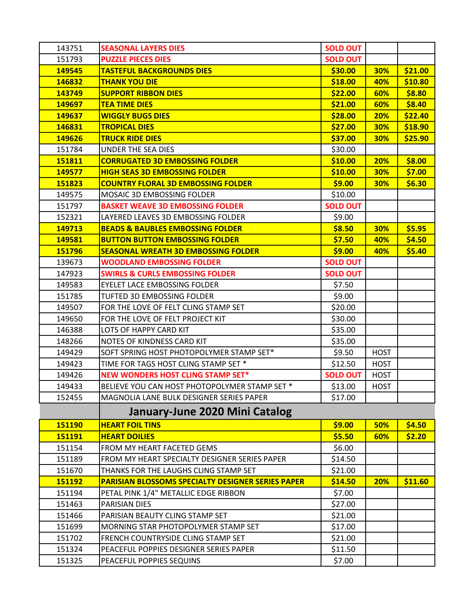| 143751 | <b>SEASONAL LAYERS DIES</b>                              | <b>SOLD OUT</b> |             |         |
|--------|----------------------------------------------------------|-----------------|-------------|---------|
| 151793 | <b>PUZZLE PIECES DIES</b>                                | <b>SOLD OUT</b> |             |         |
| 149545 | <b>TASTEFUL BACKGROUNDS DIES</b>                         | \$30.00         | 30%         | \$21.00 |
| 146832 | <b>THANK YOU DIE</b>                                     | \$18.00         | 40%         | \$10.80 |
| 143749 | <b>SUPPORT RIBBON DIES</b>                               | \$22.00         | 60%         | \$8.80  |
| 149697 | <b>TEA TIME DIES</b>                                     | \$21.00         | 60%         | \$8.40  |
| 149637 | <b>WIGGLY BUGS DIES</b>                                  | \$28.00         | 20%         | \$22.40 |
| 146831 | <b>TROPICAL DIES</b>                                     | \$27.00         | 30%         | \$18.90 |
| 149626 | <b>TRUCK RIDE DIES</b>                                   | \$37.00         | 30%         | \$25.90 |
| 151784 | UNDER THE SEA DIES                                       | \$30.00         |             |         |
| 151811 | <b>CORRUGATED 3D EMBOSSING FOLDER</b>                    | \$10.00         | 20%         | \$8.00  |
| 149577 | <b>HIGH SEAS 3D EMBOSSING FOLDER</b>                     | \$10.00         | 30%         | \$7.00  |
| 151823 | <b>COUNTRY FLORAL 3D EMBOSSING FOLDER</b>                | \$9.00          | 30%         | \$6.30  |
| 149575 | MOSAIC 3D EMBOSSING FOLDER                               | \$10.00         |             |         |
| 151797 | <b>BASKET WEAVE 3D EMBOSSING FOLDER</b>                  | <b>SOLD OUT</b> |             |         |
| 152321 | LAYERED LEAVES 3D EMBOSSING FOLDER                       | \$9.00          |             |         |
| 149713 | <b>BEADS &amp; BAUBLES EMBOSSING FOLDER</b>              | \$8.50          | <b>30%</b>  | \$5.95  |
| 149581 | <b>BUTTON BUTTON EMBOSSING FOLDER</b>                    | \$7.50          | 40%         | \$4.50  |
| 151796 | <b>SEASONAL WREATH 3D EMBOSSING FOLDER</b>               | \$9.00          | 40%         | \$5.40  |
| 139673 | <b>WOODLAND EMBOSSING FOLDER</b>                         | <b>SOLD OUT</b> |             |         |
| 147923 | <b>SWIRLS &amp; CURLS EMBOSSING FOLDER</b>               | <b>SOLD OUT</b> |             |         |
| 149583 | EYELET LACE EMBOSSING FOLDER                             | \$7.50          |             |         |
| 151785 | TUFTED 3D EMBOSSING FOLDER                               | \$9.00          |             |         |
| 149507 | FOR THE LOVE OF FELT CLING STAMP SET                     | \$20.00         |             |         |
| 149650 | FOR THE LOVE OF FELT PROJECT KIT                         | \$30.00         |             |         |
| 146388 | LOTS OF HAPPY CARD KIT                                   | \$35.00         |             |         |
| 148266 | NOTES OF KINDNESS CARD KIT                               | \$35.00         |             |         |
| 149429 | SOFT SPRING HOST PHOTOPOLYMER STAMP SET*                 | \$9.50          | <b>HOST</b> |         |
| 149423 | TIME FOR TAGS HOST CLING STAMP SET *                     | \$12.50         | <b>HOST</b> |         |
| 149426 | <b>NEW WONDERS HOST CLING STAMP SET*</b>                 | <b>SOLD OUT</b> | <b>HOST</b> |         |
| 149433 | BELIEVE YOU CAN HOST PHOTOPOLYMER STAMP SET *            | \$13.00         | <b>HOST</b> |         |
| 152455 | MAGNOLIA LANE BULK DESIGNER SERIES PAPER                 | \$17.00         |             |         |
|        | January-June 2020 Mini Catalog                           |                 |             |         |
| 151190 | <b>HEART FOIL TINS</b>                                   | \$9.00          | 50%         | \$4.50  |
| 151191 | <b>HEART DOILIES</b>                                     | \$5.50          | 60%         | \$2.20  |
| 151154 | FROM MY HEART FACETED GEMS                               | \$6.00          |             |         |
| 151189 | FROM MY HEART SPECIALTY DESIGNER SERIES PAPER            | \$14.50         |             |         |
| 151670 | THANKS FOR THE LAUGHS CLING STAMP SET                    | \$21.00         |             |         |
| 151192 | <b>PARISIAN BLOSSOMS SPECIALTY DESIGNER SERIES PAPER</b> | \$14.50         | 20%         | \$11.60 |
| 151194 | PETAL PINK 1/4" METALLIC EDGE RIBBON                     | \$7.00          |             |         |
| 151463 | PARISIAN DIES                                            | \$27.00         |             |         |
| 151466 | PARISIAN BEAUTY CLING STAMP SET                          | \$21.00         |             |         |
| 151699 | MORNING STAR PHOTOPOLYMER STAMP SET                      | \$17.00         |             |         |
| 151702 | FRENCH COUNTRYSIDE CLING STAMP SET                       | \$21.00         |             |         |
| 151324 | PEACEFUL POPPIES DESIGNER SERIES PAPER                   | \$11.50         |             |         |
| 151325 | PEACEFUL POPPIES SEQUINS                                 | \$7.00          |             |         |